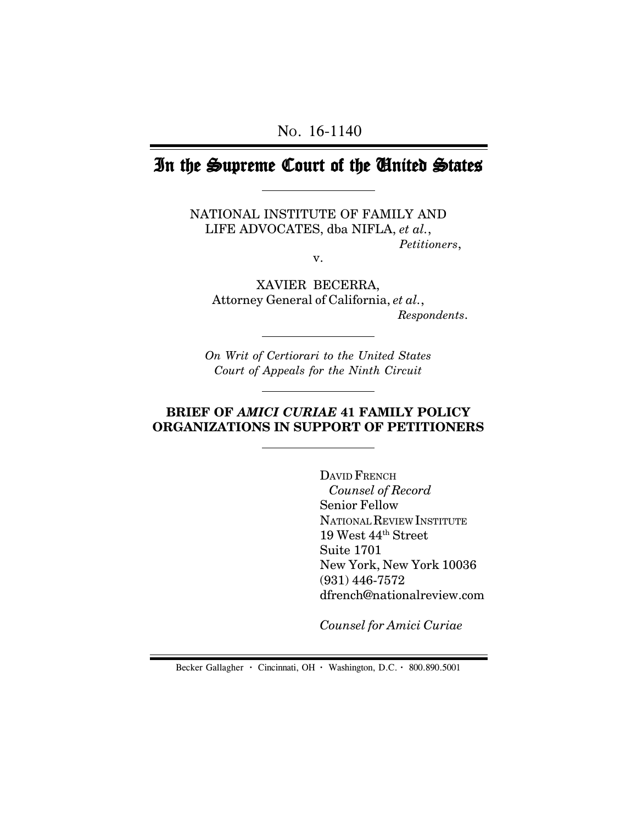# In the Supreme Court of the United States

NATIONAL INSTITUTE OF FAMILY AND LIFE ADVOCATES, dba NIFLA, *et al.*, *Petitioners*,

v.

XAVIER BECERRA, Attorney General of California, *et al.*,  *Respondents*.

*On Writ of Certiorari to the United States Court of Appeals for the Ninth Circuit*

### **BRIEF OF** *AMICI CURIAE* **41 FAMILY POLICY ORGANIZATIONS IN SUPPORT OF PETITIONERS**

DAVID FRENCH *Counsel of Record* Senior Fellow NATIONAL REVIEW INSTITUTE 19 West 44th Street Suite 1701 New York, New York 10036 (931) 446-7572 dfrench@nationalreview.com

*Counsel for Amici Curiae*

Becker Gallagher **·** Cincinnati, OH **·** Washington, D.C. **·** 800.890.5001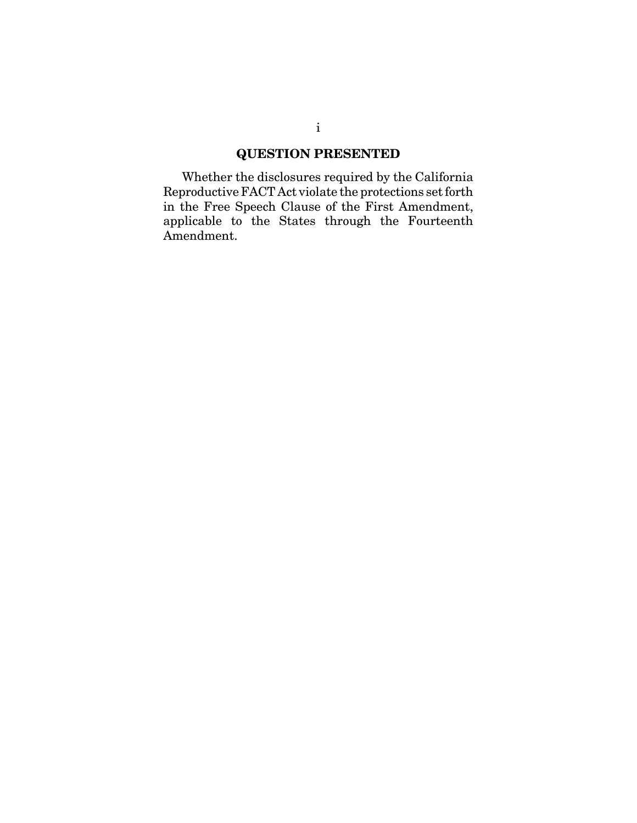### **QUESTION PRESENTED**

Whether the disclosures required by the California Reproductive FACT Act violate the protections set forth in the Free Speech Clause of the First Amendment, applicable to the States through the Fourteenth Amendment.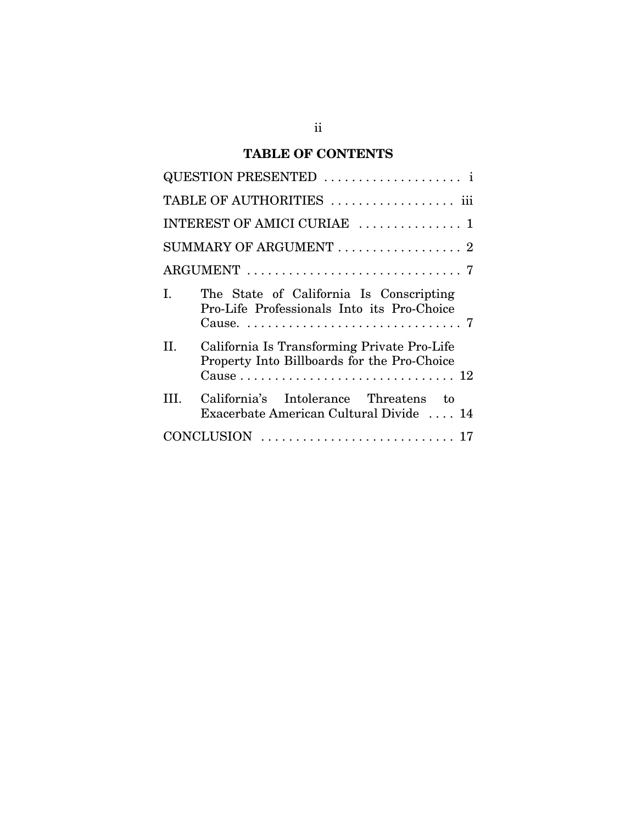# **TABLE OF CONTENTS**

| QUESTION PRESENTED  i                                                                            |
|--------------------------------------------------------------------------------------------------|
| TABLE OF AUTHORITIES  iii                                                                        |
| INTEREST OF AMICI CURIAE  1                                                                      |
| SUMMARY OF ARGUMENT  2                                                                           |
|                                                                                                  |
| The State of California Is Conscripting<br>L<br>Pro-Life Professionals Into its Pro-Choice       |
| California Is Transforming Private Pro-Life<br>Н.<br>Property Into Billboards for the Pro-Choice |
| California's Intolerance Threatens to<br>Ш<br>Exacerbate American Cultural Divide  14            |
|                                                                                                  |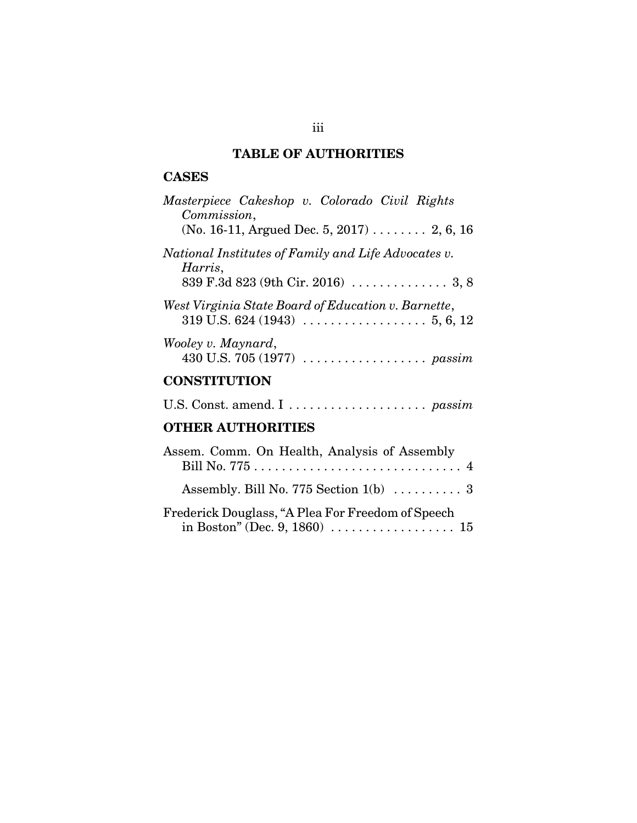# **TABLE OF AUTHORITIES**

### **CASES**

| Masterpiece Cakeshop v. Colorado Civil Rights<br>Commission,                          |
|---------------------------------------------------------------------------------------|
| (No. 16-11, Argued Dec. 5, 2017)  2, 6, 16                                            |
| National Institutes of Family and Life Advocates v.<br>Harris,                        |
|                                                                                       |
| West Virginia State Board of Education v. Barnette,                                   |
| Wooley v. Maynard,<br>430 U.S. 705 (1977) $\ldots \ldots \ldots \ldots \ldots$ passim |
| <b>CONSTITUTION</b>                                                                   |
|                                                                                       |
|                                                                                       |

# **OTHER AUTHORITIES**

| Assem. Comm. On Health, Analysis of Assembly                                                                                  |
|-------------------------------------------------------------------------------------------------------------------------------|
|                                                                                                                               |
| Assembly. Bill No. 775 Section 1(b)  3                                                                                        |
| Frederick Douglass, "A Plea For Freedom of Speech<br>in Boston" (Dec. 9, 1860) $\ldots \ldots \ldots \ldots \ldots \ldots 15$ |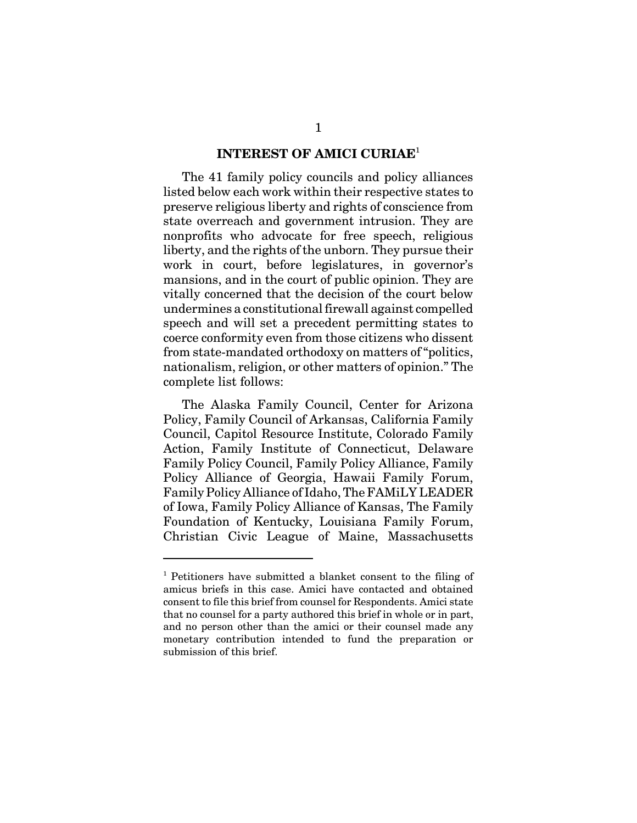#### **INTEREST OF AMICI CURIAE**<sup>1</sup>

The 41 family policy councils and policy alliances listed below each work within their respective states to preserve religious liberty and rights of conscience from state overreach and government intrusion. They are nonprofits who advocate for free speech, religious liberty, and the rights of the unborn. They pursue their work in court, before legislatures, in governor's mansions, and in the court of public opinion. They are vitally concerned that the decision of the court below undermines a constitutional firewall against compelled speech and will set a precedent permitting states to coerce conformity even from those citizens who dissent from state-mandated orthodoxy on matters of "politics, nationalism, religion, or other matters of opinion." The complete list follows:

The Alaska Family Council, Center for Arizona Policy, Family Council of Arkansas, California Family Council, Capitol Resource Institute, Colorado Family Action, Family Institute of Connecticut, Delaware Family Policy Council, Family Policy Alliance, Family Policy Alliance of Georgia, Hawaii Family Forum, Family Policy Alliance of Idaho, The FAMiLY LEADER of Iowa, Family Policy Alliance of Kansas, The Family Foundation of Kentucky, Louisiana Family Forum, Christian Civic League of Maine, Massachusetts

<sup>&</sup>lt;sup>1</sup> Petitioners have submitted a blanket consent to the filing of amicus briefs in this case. Amici have contacted and obtained consent to file this brief from counsel for Respondents. Amici state that no counsel for a party authored this brief in whole or in part, and no person other than the amici or their counsel made any monetary contribution intended to fund the preparation or submission of this brief.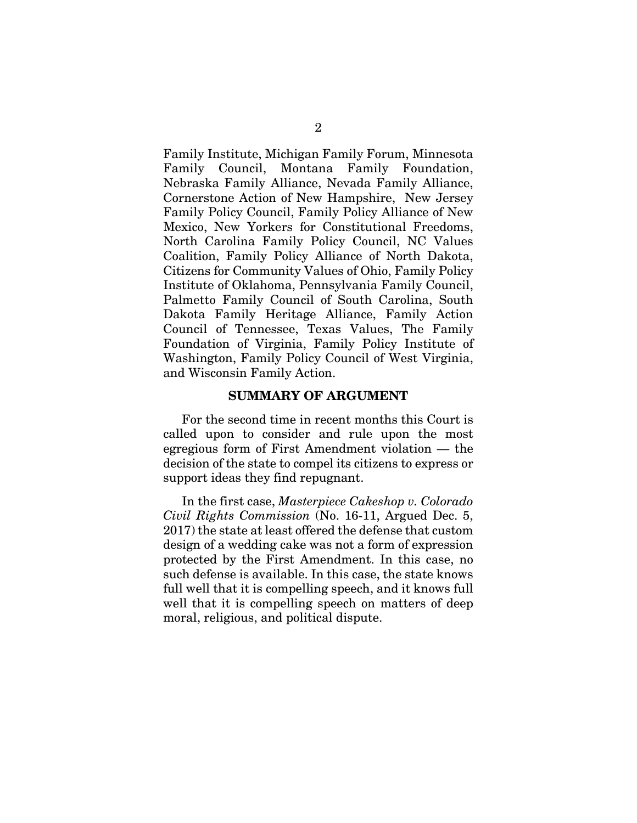Family Institute, Michigan Family Forum, Minnesota Family Council, Montana Family Foundation, Nebraska Family Alliance, Nevada Family Alliance, Cornerstone Action of New Hampshire, New Jersey Family Policy Council, Family Policy Alliance of New Mexico, New Yorkers for Constitutional Freedoms, North Carolina Family Policy Council, NC Values Coalition, Family Policy Alliance of North Dakota, Citizens for Community Values of Ohio, Family Policy Institute of Oklahoma, Pennsylvania Family Council, Palmetto Family Council of South Carolina, South Dakota Family Heritage Alliance, Family Action Council of Tennessee, Texas Values, The Family Foundation of Virginia, Family Policy Institute of Washington, Family Policy Council of West Virginia, and Wisconsin Family Action.

#### **SUMMARY OF ARGUMENT**

For the second time in recent months this Court is called upon to consider and rule upon the most egregious form of First Amendment violation — the decision of the state to compel its citizens to express or support ideas they find repugnant.

In the first case, *Masterpiece Cakeshop v. Colorado Civil Rights Commission* (No. 16-11, Argued Dec. 5, 2017) the state at least offered the defense that custom design of a wedding cake was not a form of expression protected by the First Amendment. In this case, no such defense is available. In this case, the state knows full well that it is compelling speech, and it knows full well that it is compelling speech on matters of deep moral, religious, and political dispute.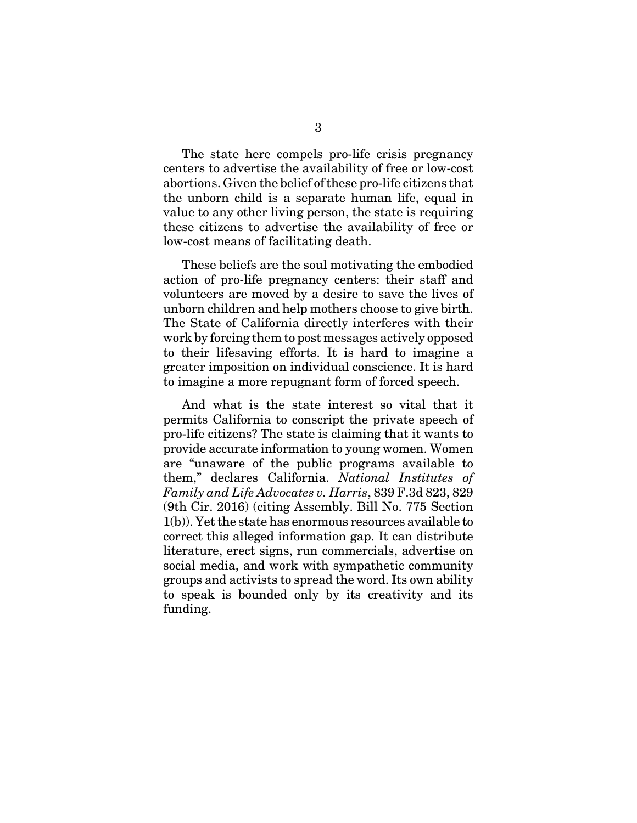The state here compels pro-life crisis pregnancy centers to advertise the availability of free or low-cost abortions. Given the belief of these pro-life citizens that the unborn child is a separate human life, equal in value to any other living person, the state is requiring these citizens to advertise the availability of free or low-cost means of facilitating death.

These beliefs are the soul motivating the embodied action of pro-life pregnancy centers: their staff and volunteers are moved by a desire to save the lives of unborn children and help mothers choose to give birth. The State of California directly interferes with their work by forcing them to post messages actively opposed to their lifesaving efforts. It is hard to imagine a greater imposition on individual conscience. It is hard to imagine a more repugnant form of forced speech.

And what is the state interest so vital that it permits California to conscript the private speech of pro-life citizens? The state is claiming that it wants to provide accurate information to young women. Women are "unaware of the public programs available to them," declares California. *National Institutes of Family and Life Advocates v. Harris*, 839 F.3d 823, 829 (9th Cir. 2016) (citing Assembly. Bill No. 775 Section 1(b)). Yet the state has enormous resources available to correct this alleged information gap. It can distribute literature, erect signs, run commercials, advertise on social media, and work with sympathetic community groups and activists to spread the word. Its own ability to speak is bounded only by its creativity and its funding.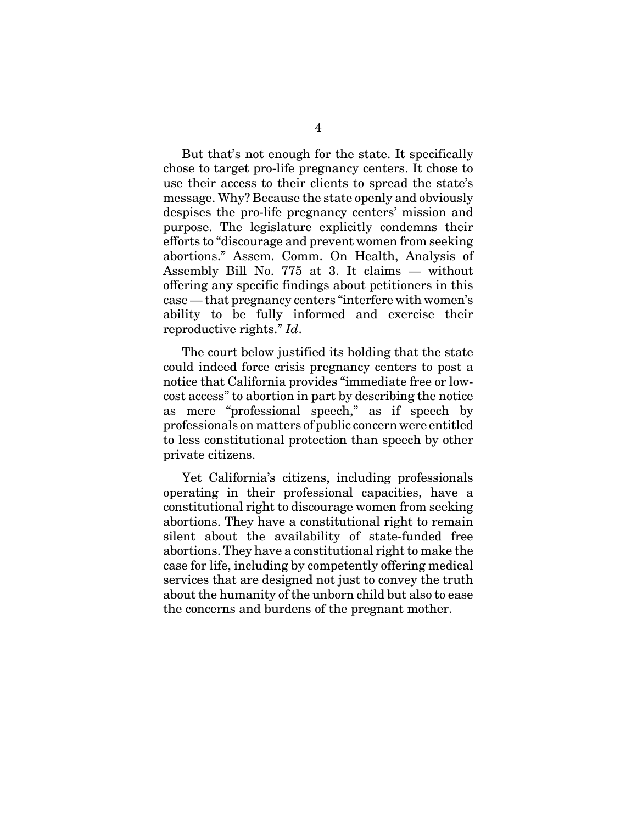But that's not enough for the state. It specifically chose to target pro-life pregnancy centers. It chose to use their access to their clients to spread the state's message. Why? Because the state openly and obviously despises the pro-life pregnancy centers' mission and purpose. The legislature explicitly condemns their efforts to "discourage and prevent women from seeking abortions." Assem. Comm. On Health, Analysis of Assembly Bill No. 775 at 3. It claims — without offering any specific findings about petitioners in this case — that pregnancy centers "interfere with women's ability to be fully informed and exercise their reproductive rights." *Id*.

The court below justified its holding that the state could indeed force crisis pregnancy centers to post a notice that California provides "immediate free or lowcost access" to abortion in part by describing the notice as mere "professional speech," as if speech by professionals on matters of public concern were entitled to less constitutional protection than speech by other private citizens.

Yet California's citizens, including professionals operating in their professional capacities, have a constitutional right to discourage women from seeking abortions. They have a constitutional right to remain silent about the availability of state-funded free abortions. They have a constitutional right to make the case for life, including by competently offering medical services that are designed not just to convey the truth about the humanity of the unborn child but also to ease the concerns and burdens of the pregnant mother.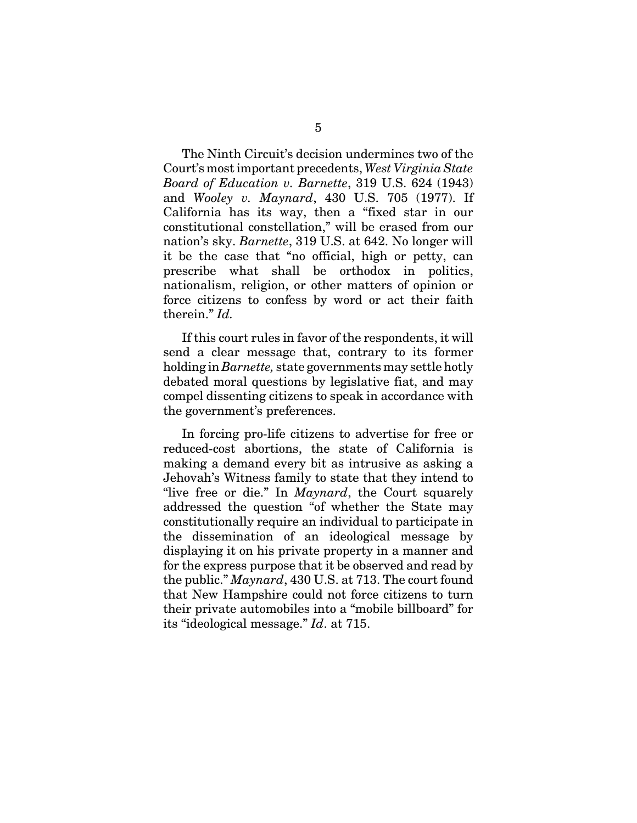The Ninth Circuit's decision undermines two of the Court's most important precedents, *West Virginia State Board of Education v. Barnette*, 319 U.S. 624 (1943) and *Wooley v. Maynard*, 430 U.S. 705 (1977). If California has its way, then a "fixed star in our constitutional constellation," will be erased from our nation's sky. *Barnette*, 319 U.S. at 642. No longer will it be the case that "no official, high or petty, can prescribe what shall be orthodox in politics, nationalism, religion, or other matters of opinion or force citizens to confess by word or act their faith therein." *Id.*

If this court rules in favor of the respondents, it will send a clear message that, contrary to its former holding in *Barnette,* state governments may settle hotly debated moral questions by legislative fiat, and may compel dissenting citizens to speak in accordance with the government's preferences.

In forcing pro-life citizens to advertise for free or reduced-cost abortions, the state of California is making a demand every bit as intrusive as asking a Jehovah's Witness family to state that they intend to "live free or die." In *Maynard*, the Court squarely addressed the question "of whether the State may constitutionally require an individual to participate in the dissemination of an ideological message by displaying it on his private property in a manner and for the express purpose that it be observed and read by the public." *Maynard*, 430 U.S. at 713. The court found that New Hampshire could not force citizens to turn their private automobiles into a "mobile billboard" for its "ideological message." *Id*. at 715.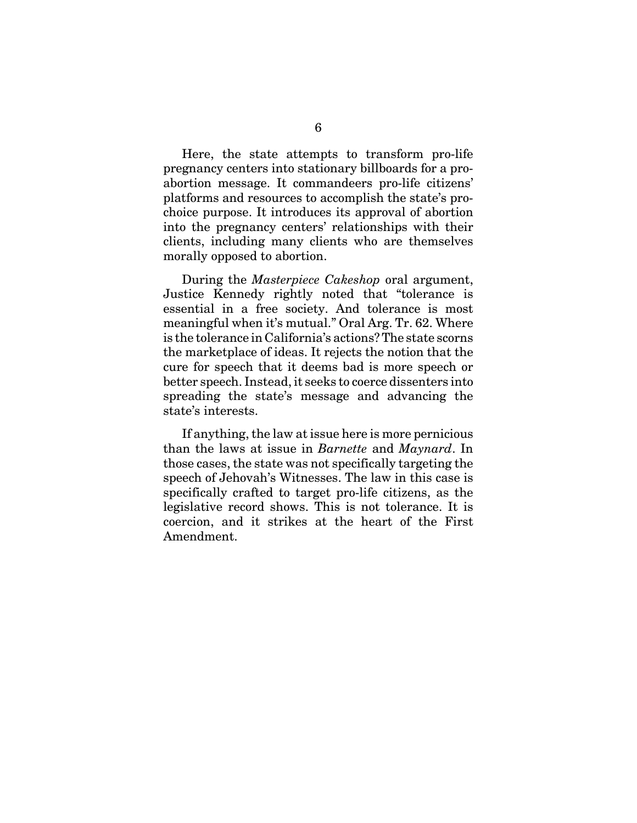Here, the state attempts to transform pro-life pregnancy centers into stationary billboards for a proabortion message. It commandeers pro-life citizens' platforms and resources to accomplish the state's prochoice purpose. It introduces its approval of abortion into the pregnancy centers' relationships with their clients, including many clients who are themselves morally opposed to abortion.

During the *Masterpiece Cakeshop* oral argument, Justice Kennedy rightly noted that "tolerance is essential in a free society. And tolerance is most meaningful when it's mutual." Oral Arg. Tr. 62. Where is the tolerance in California's actions? The state scorns the marketplace of ideas. It rejects the notion that the cure for speech that it deems bad is more speech or better speech. Instead, it seeks to coerce dissenters into spreading the state's message and advancing the state's interests.

If anything, the law at issue here is more pernicious than the laws at issue in *Barnette* and *Maynard*. In those cases, the state was not specifically targeting the speech of Jehovah's Witnesses. The law in this case is specifically crafted to target pro-life citizens, as the legislative record shows. This is not tolerance. It is coercion, and it strikes at the heart of the First Amendment.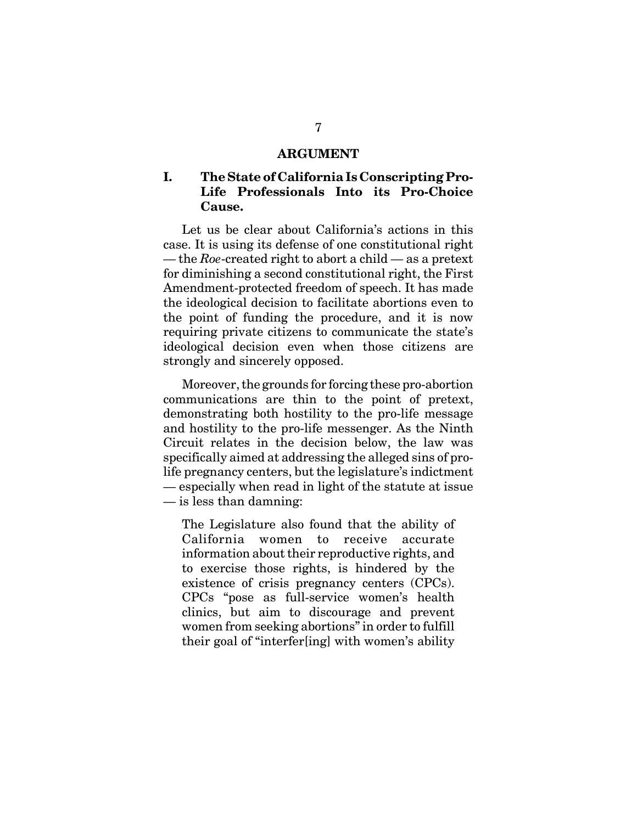#### **ARGUMENT**

### **I. The State of California Is Conscripting Pro-Life Professionals Into its Pro-Choice Cause.**

Let us be clear about California's actions in this case. It is using its defense of one constitutional right — the *Roe*-created right to abort a child — as a pretext for diminishing a second constitutional right, the First Amendment-protected freedom of speech. It has made the ideological decision to facilitate abortions even to the point of funding the procedure, and it is now requiring private citizens to communicate the state's ideological decision even when those citizens are strongly and sincerely opposed.

Moreover, the grounds for forcing these pro-abortion communications are thin to the point of pretext, demonstrating both hostility to the pro-life message and hostility to the pro-life messenger. As the Ninth Circuit relates in the decision below, the law was specifically aimed at addressing the alleged sins of prolife pregnancy centers, but the legislature's indictment — especially when read in light of the statute at issue — is less than damning:

The Legislature also found that the ability of California women to receive accurate information about their reproductive rights, and to exercise those rights, is hindered by the existence of crisis pregnancy centers (CPCs). CPCs "pose as full-service women's health clinics, but aim to discourage and prevent women from seeking abortions" in order to fulfill their goal of "interfer[ing] with women's ability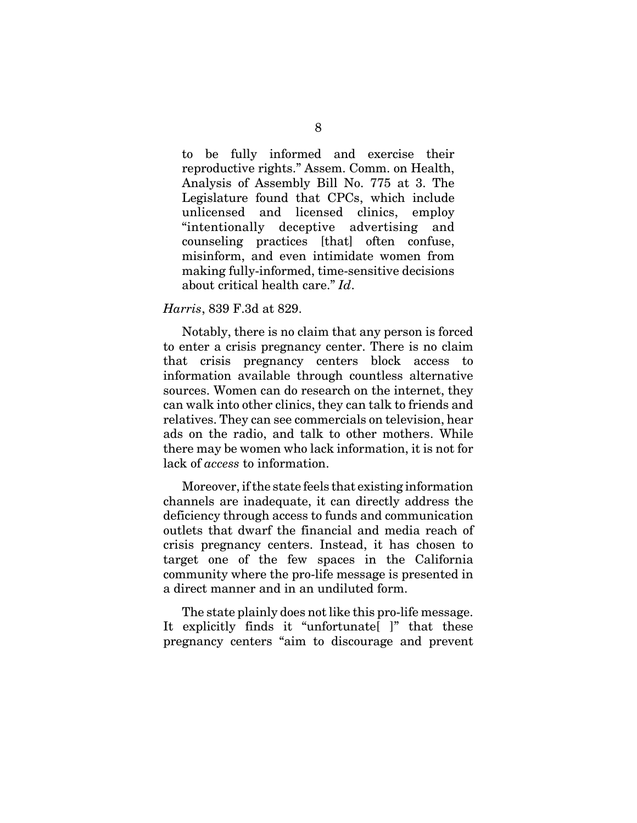to be fully informed and exercise their reproductive rights." Assem. Comm. on Health, Analysis of Assembly Bill No. 775 at 3. The Legislature found that CPCs, which include unlicensed and licensed clinics, employ "intentionally deceptive advertising and counseling practices [that] often confuse, misinform, and even intimidate women from making fully-informed, time-sensitive decisions about critical health care." *Id*.

#### *Harris*, 839 F.3d at 829.

Notably, there is no claim that any person is forced to enter a crisis pregnancy center. There is no claim that crisis pregnancy centers block access to information available through countless alternative sources. Women can do research on the internet, they can walk into other clinics, they can talk to friends and relatives. They can see commercials on television, hear ads on the radio, and talk to other mothers. While there may be women who lack information, it is not for lack of *access* to information.

Moreover, if the state feels that existing information channels are inadequate, it can directly address the deficiency through access to funds and communication outlets that dwarf the financial and media reach of crisis pregnancy centers. Instead, it has chosen to target one of the few spaces in the California community where the pro-life message is presented in a direct manner and in an undiluted form.

The state plainly does not like this pro-life message. It explicitly finds it "unfortunate" is that these pregnancy centers "aim to discourage and prevent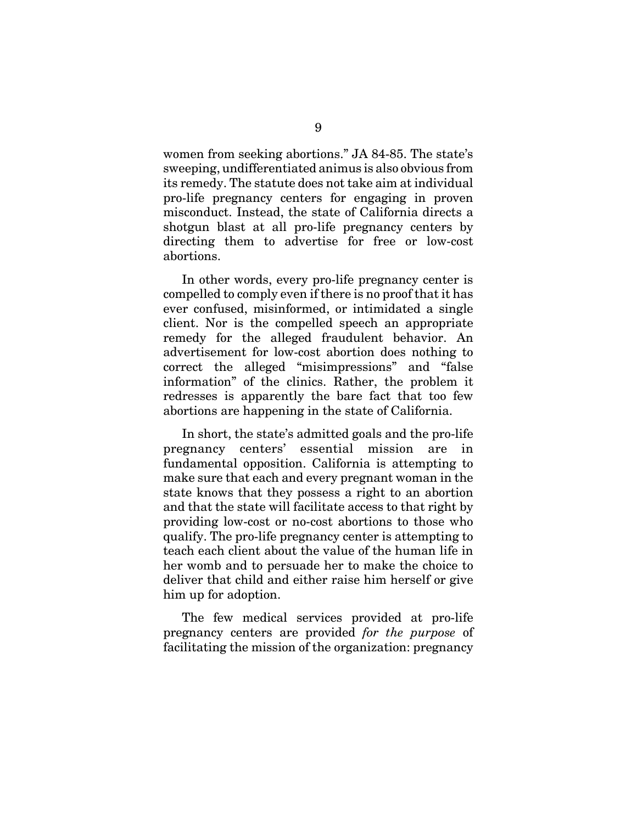women from seeking abortions." JA 84-85. The state's sweeping, undifferentiated animus is also obvious from its remedy. The statute does not take aim at individual pro-life pregnancy centers for engaging in proven misconduct. Instead, the state of California directs a shotgun blast at all pro-life pregnancy centers by directing them to advertise for free or low-cost abortions.

In other words, every pro-life pregnancy center is compelled to comply even if there is no proof that it has ever confused, misinformed, or intimidated a single client. Nor is the compelled speech an appropriate remedy for the alleged fraudulent behavior. An advertisement for low-cost abortion does nothing to correct the alleged "misimpressions" and "false information" of the clinics. Rather, the problem it redresses is apparently the bare fact that too few abortions are happening in the state of California.

In short, the state's admitted goals and the pro-life pregnancy centers' essential mission are in fundamental opposition. California is attempting to make sure that each and every pregnant woman in the state knows that they possess a right to an abortion and that the state will facilitate access to that right by providing low-cost or no-cost abortions to those who qualify. The pro-life pregnancy center is attempting to teach each client about the value of the human life in her womb and to persuade her to make the choice to deliver that child and either raise him herself or give him up for adoption.

The few medical services provided at pro-life pregnancy centers are provided *for the purpose* of facilitating the mission of the organization: pregnancy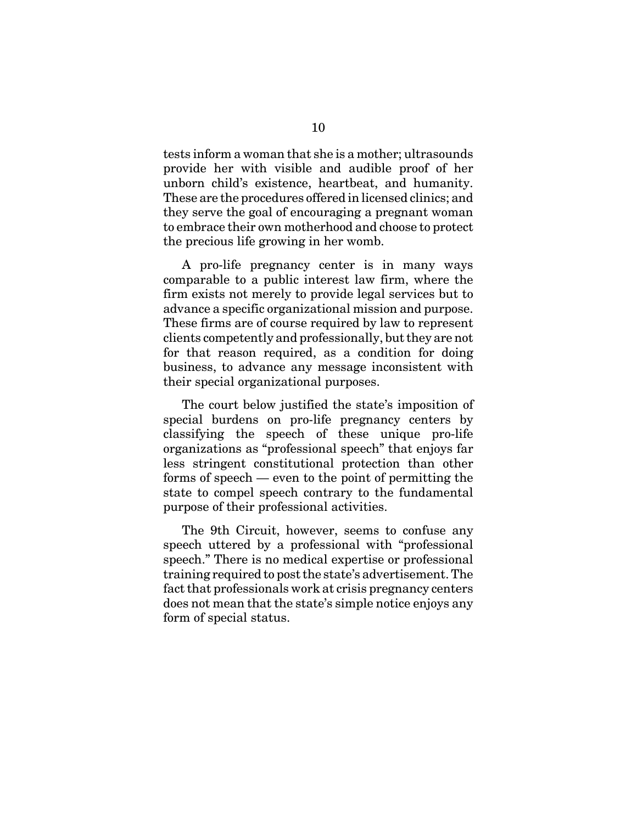tests inform a woman that she is a mother; ultrasounds provide her with visible and audible proof of her unborn child's existence, heartbeat, and humanity. These are the procedures offered in licensed clinics; and they serve the goal of encouraging a pregnant woman to embrace their own motherhood and choose to protect the precious life growing in her womb.

A pro-life pregnancy center is in many ways comparable to a public interest law firm, where the firm exists not merely to provide legal services but to advance a specific organizational mission and purpose. These firms are of course required by law to represent clients competently and professionally, but they are not for that reason required, as a condition for doing business, to advance any message inconsistent with their special organizational purposes.

The court below justified the state's imposition of special burdens on pro-life pregnancy centers by classifying the speech of these unique pro-life organizations as "professional speech" that enjoys far less stringent constitutional protection than other forms of speech — even to the point of permitting the state to compel speech contrary to the fundamental purpose of their professional activities.

The 9th Circuit, however, seems to confuse any speech uttered by a professional with "professional speech." There is no medical expertise or professional training required to post the state's advertisement. The fact that professionals work at crisis pregnancy centers does not mean that the state's simple notice enjoys any form of special status.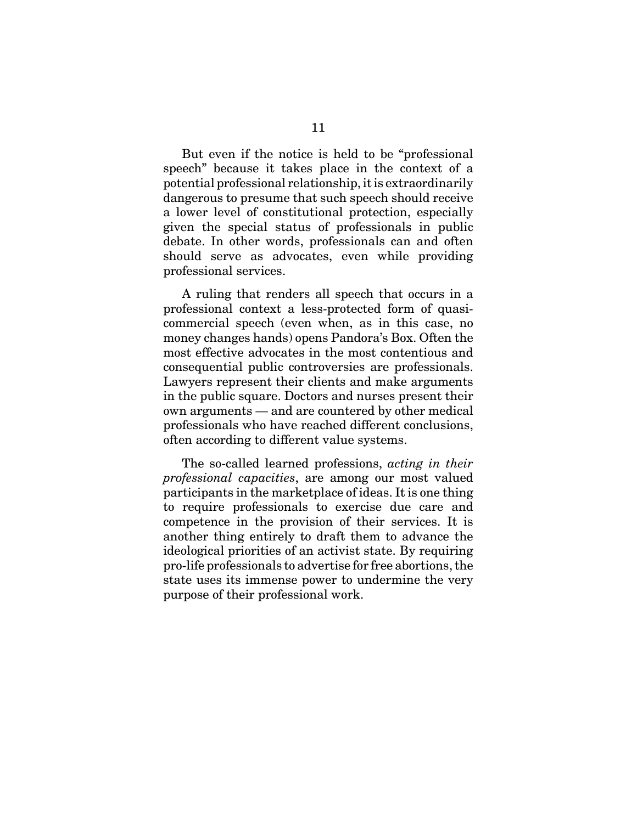But even if the notice is held to be "professional speech" because it takes place in the context of a potential professional relationship, it is extraordinarily dangerous to presume that such speech should receive a lower level of constitutional protection, especially given the special status of professionals in public debate. In other words, professionals can and often should serve as advocates, even while providing professional services.

A ruling that renders all speech that occurs in a professional context a less-protected form of quasicommercial speech (even when, as in this case, no money changes hands) opens Pandora's Box. Often the most effective advocates in the most contentious and consequential public controversies are professionals. Lawyers represent their clients and make arguments in the public square. Doctors and nurses present their own arguments — and are countered by other medical professionals who have reached different conclusions, often according to different value systems.

The so-called learned professions, *acting in their professional capacities*, are among our most valued participants in the marketplace of ideas. It is one thing to require professionals to exercise due care and competence in the provision of their services. It is another thing entirely to draft them to advance the ideological priorities of an activist state. By requiring pro-life professionals to advertise for free abortions, the state uses its immense power to undermine the very purpose of their professional work.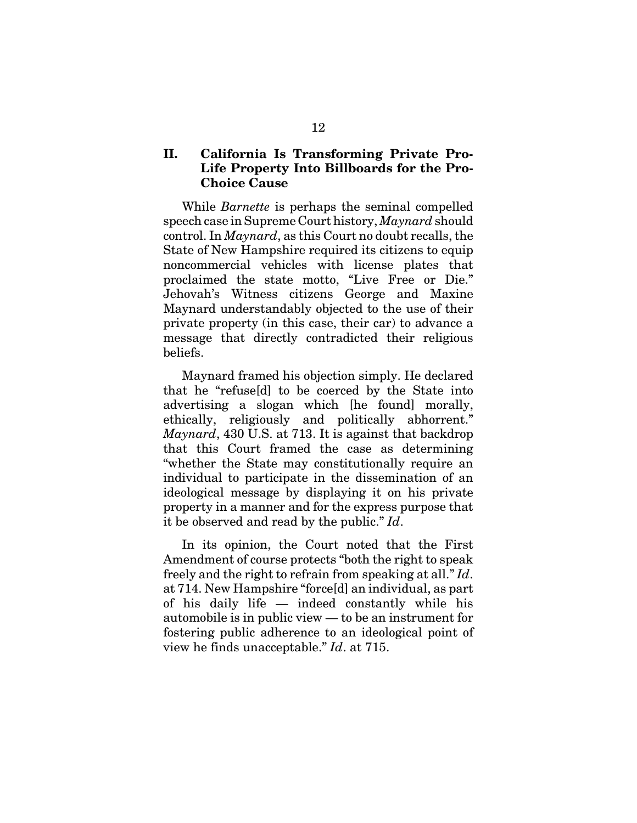### **II. California Is Transforming Private Pro-Life Property Into Billboards for the Pro-Choice Cause**

While *Barnette* is perhaps the seminal compelled speech case in Supreme Court history, *Maynard* should control. In *Maynard*, as this Court no doubt recalls, the State of New Hampshire required its citizens to equip noncommercial vehicles with license plates that proclaimed the state motto, "Live Free or Die." Jehovah's Witness citizens George and Maxine Maynard understandably objected to the use of their private property (in this case, their car) to advance a message that directly contradicted their religious beliefs.

Maynard framed his objection simply. He declared that he "refuse[d] to be coerced by the State into advertising a slogan which [he found] morally, ethically, religiously and politically abhorrent." *Maynard*, 430 U.S. at 713. It is against that backdrop that this Court framed the case as determining "whether the State may constitutionally require an individual to participate in the dissemination of an ideological message by displaying it on his private property in a manner and for the express purpose that it be observed and read by the public." *Id*.

In its opinion, the Court noted that the First Amendment of course protects "both the right to speak freely and the right to refrain from speaking at all." *Id*. at 714. New Hampshire "force[d] an individual, as part of his daily life — indeed constantly while his automobile is in public view — to be an instrument for fostering public adherence to an ideological point of view he finds unacceptable." *Id*. at 715.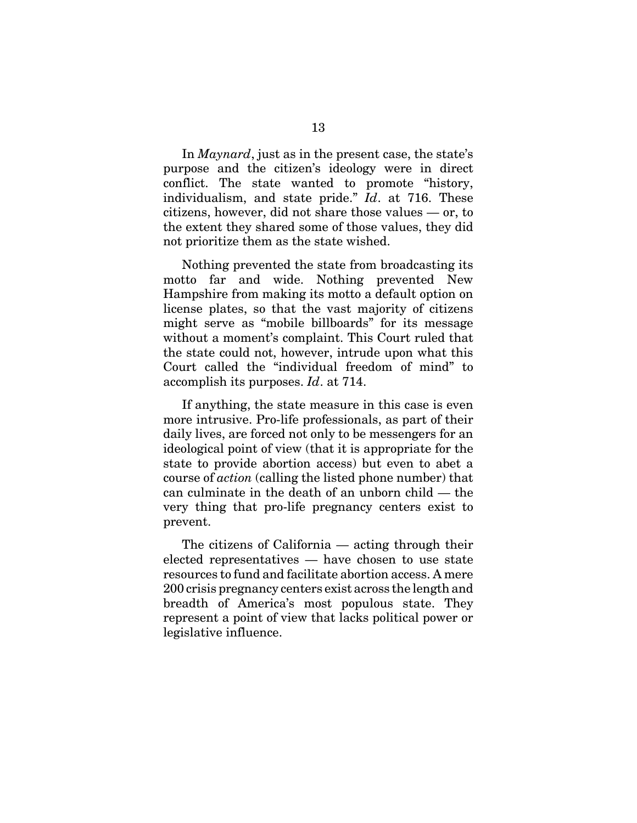In *Maynard*, just as in the present case, the state's purpose and the citizen's ideology were in direct conflict. The state wanted to promote "history, individualism, and state pride." *Id*. at 716. These citizens, however, did not share those values — or, to the extent they shared some of those values, they did not prioritize them as the state wished.

Nothing prevented the state from broadcasting its motto far and wide. Nothing prevented New Hampshire from making its motto a default option on license plates, so that the vast majority of citizens might serve as "mobile billboards" for its message without a moment's complaint. This Court ruled that the state could not, however, intrude upon what this Court called the "individual freedom of mind" to accomplish its purposes. *Id*. at 714.

If anything, the state measure in this case is even more intrusive. Pro-life professionals, as part of their daily lives, are forced not only to be messengers for an ideological point of view (that it is appropriate for the state to provide abortion access) but even to abet a course of *action* (calling the listed phone number) that can culminate in the death of an unborn child — the very thing that pro-life pregnancy centers exist to prevent.

The citizens of California — acting through their elected representatives — have chosen to use state resources to fund and facilitate abortion access. A mere 200 crisis pregnancy centers exist across the length and breadth of America's most populous state. They represent a point of view that lacks political power or legislative influence.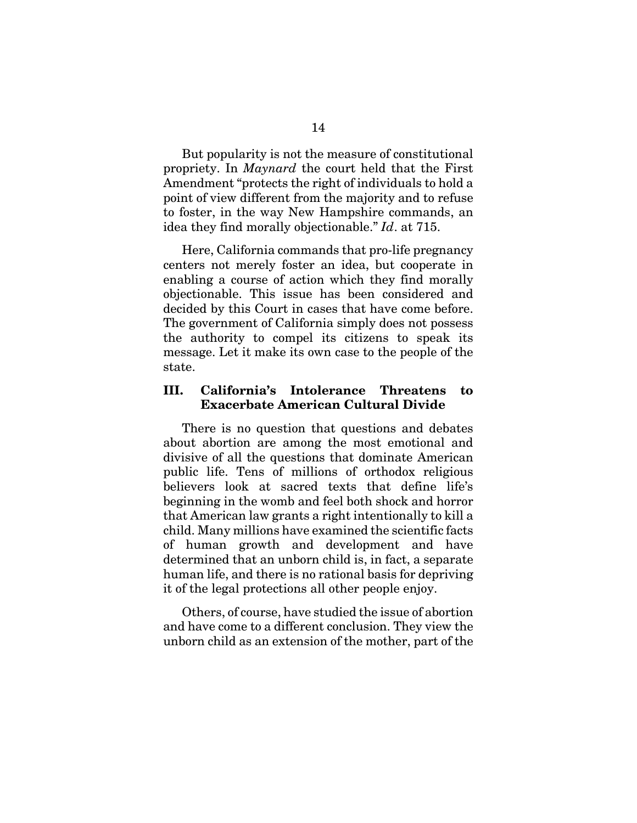But popularity is not the measure of constitutional propriety. In *Maynard* the court held that the First Amendment "protects the right of individuals to hold a point of view different from the majority and to refuse to foster, in the way New Hampshire commands, an idea they find morally objectionable." *Id*. at 715.

Here, California commands that pro-life pregnancy centers not merely foster an idea, but cooperate in enabling a course of action which they find morally objectionable. This issue has been considered and decided by this Court in cases that have come before. The government of California simply does not possess the authority to compel its citizens to speak its message. Let it make its own case to the people of the state.

#### **III. California's Intolerance Threatens to Exacerbate American Cultural Divide**

There is no question that questions and debates about abortion are among the most emotional and divisive of all the questions that dominate American public life. Tens of millions of orthodox religious believers look at sacred texts that define life's beginning in the womb and feel both shock and horror that American law grants a right intentionally to kill a child. Many millions have examined the scientific facts of human growth and development and have determined that an unborn child is, in fact, a separate human life, and there is no rational basis for depriving it of the legal protections all other people enjoy.

Others, of course, have studied the issue of abortion and have come to a different conclusion. They view the unborn child as an extension of the mother, part of the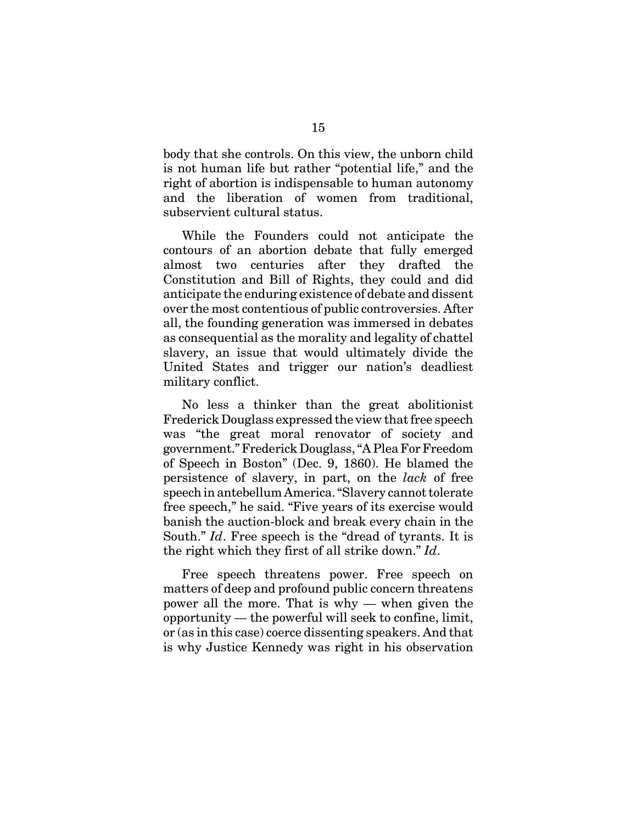body that she controls. On this view, the unborn child is not human life but rather "potential life," and the right of abortion is indispensable to human autonomy and the liberation of women from traditional, subservient cultural status.

While the Founders could not anticipate the contours of an abortion debate that fully emerged almost two centuries after they drafted the Constitution and Bill of Rights, they could and did anticipate the enduring existence of debate and dissent over the most contentious of public controversies. After all, the founding generation was immersed in debates as consequential as the morality and legality of chattel slavery, an issue that would ultimately divide the United States and trigger our nation's deadliest military conflict.

No less a thinker than the great abolitionist Frederick Douglass expressed the view that free speech was "the great moral renovator of society and government." Frederick Douglass, "A Plea For Freedom of Speech in Boston" (Dec. 9, 1860). He blamed the persistence of slavery, in part, on the *lack* of free speech in antebellum America. "Slavery cannot tolerate free speech," he said. "Five years of its exercise would banish the auction-block and break every chain in the South." *Id*. Free speech is the "dread of tyrants. It is the right which they first of all strike down." *Id*.

Free speech threatens power. Free speech on matters of deep and profound public concern threatens power all the more. That is why — when given the opportunity — the powerful will seek to confine, limit, or (as in this case) coerce dissenting speakers. And that is why Justice Kennedy was right in his observation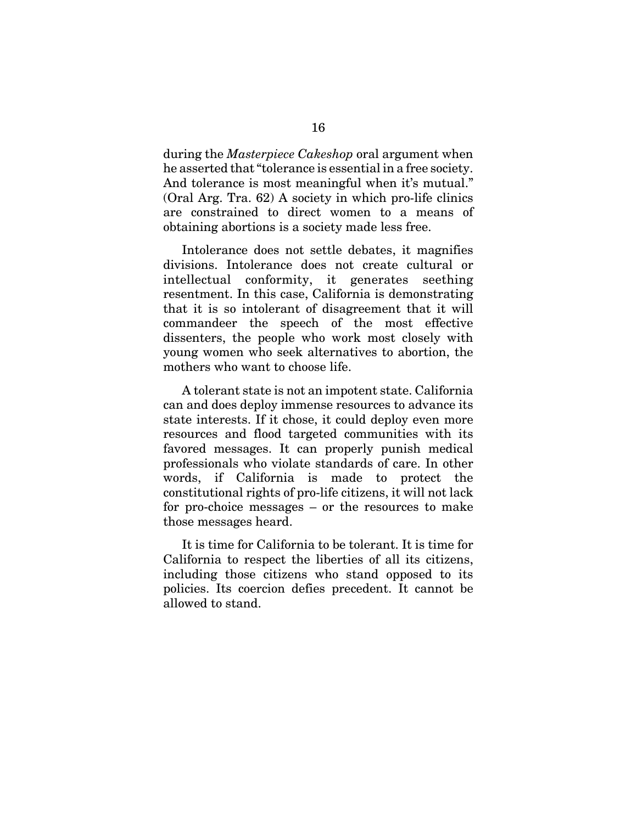during the *Masterpiece Cakeshop* oral argument when he asserted that "tolerance is essential in a free society. And tolerance is most meaningful when it's mutual." (Oral Arg. Tra. 62) A society in which pro-life clinics are constrained to direct women to a means of obtaining abortions is a society made less free.

Intolerance does not settle debates, it magnifies divisions. Intolerance does not create cultural or intellectual conformity, it generates seething resentment. In this case, California is demonstrating that it is so intolerant of disagreement that it will commandeer the speech of the most effective dissenters, the people who work most closely with young women who seek alternatives to abortion, the mothers who want to choose life.

A tolerant state is not an impotent state. California can and does deploy immense resources to advance its state interests. If it chose, it could deploy even more resources and flood targeted communities with its favored messages. It can properly punish medical professionals who violate standards of care. In other words, if California is made to protect the constitutional rights of pro-life citizens, it will not lack for pro-choice messages – or the resources to make those messages heard.

It is time for California to be tolerant. It is time for California to respect the liberties of all its citizens, including those citizens who stand opposed to its policies. Its coercion defies precedent. It cannot be allowed to stand.